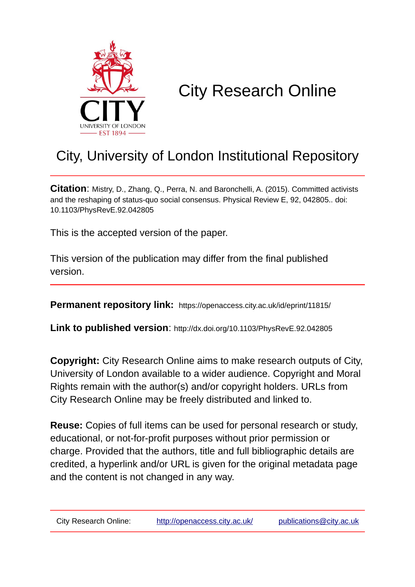

# City Research Online

# City, University of London Institutional Repository

**Citation**: Mistry, D., Zhang, Q., Perra, N. and Baronchelli, A. (2015). Committed activists and the reshaping of status-quo social consensus. Physical Review E, 92, 042805.. doi: 10.1103/PhysRevE.92.042805

This is the accepted version of the paper.

This version of the publication may differ from the final published version.

**Permanent repository link:** https://openaccess.city.ac.uk/id/eprint/11815/

**Link to published version**: http://dx.doi.org/10.1103/PhysRevE.92.042805

**Copyright:** City Research Online aims to make research outputs of City, University of London available to a wider audience. Copyright and Moral Rights remain with the author(s) and/or copyright holders. URLs from City Research Online may be freely distributed and linked to.

**Reuse:** Copies of full items can be used for personal research or study, educational, or not-for-profit purposes without prior permission or charge. Provided that the authors, title and full bibliographic details are credited, a hyperlink and/or URL is given for the original metadata page and the content is not changed in any way.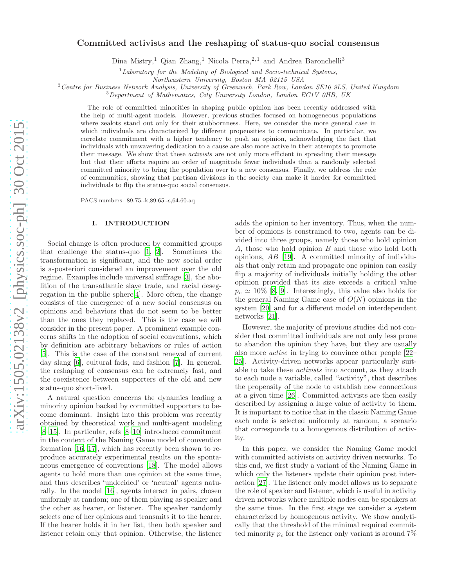# Committed activists and the reshaping of status-quo social consensus

Dina Mistry,<sup>1</sup> Qian Zhang,<sup>1</sup> Nicola Perra,<sup>2,1</sup> and Andrea Baronchelli<sup>3</sup>

 $1$ Laboratory for the Modeling of Biological and Socio-technical Systems,

Northeastern University, Boston MA 02115 USA

<sup>2</sup> Centre for Business Network Analysis, University of Greenwich, Park Row, London SE10 9LS, United Kingdom

<sup>3</sup>Department of Mathematics, City University London, London EC1V 0HB, UK

The role of committed minorities in shaping public opinion has been recently addressed with the help of multi-agent models. However, previous studies focused on homogeneous populations where zealots stand out only for their stubbornness. Here, we consider the more general case in which individuals are characterized by different propensities to communicate. In particular, we correlate commitment with a higher tendency to push an opinion, acknowledging the fact that individuals with unwavering dedication to a cause are also more active in their attempts to promote their message. We show that these *activists* are not only more efficient in spreading their message but that their efforts require an order of magnitude fewer individuals than a randomly selected committed minority to bring the population over to a new consensus. Finally, we address the role of communities, showing that partisan divisions in the society can make it harder for committed individuals to flip the status-quo social consensus.

PACS numbers: 89.75.-k,89.65.-s,64.60.aq

#### I. INTRODUCTION

Social change is often produced by committed groups that challenge the status-quo [\[1,](#page-8-0) [2\]](#page-8-1). Sometimes the transformation is significant, and the new social order is a-posteriori considered an improvement over the old regime. Examples include universal suffrage [\[3\]](#page-8-2), the abolition of the transatlantic slave trade, and racial desegregation in the public sphere[\[4\]](#page-8-3). More often, the change consists of the emergence of a new social consensus on opinions and behaviors that do not seem to be better than the ones they replaced. This is the case we will consider in the present paper. A prominent example concerns shifts in the adoption of social conventions, which by definition are arbitrary behaviors or rules of action [\[5\]](#page-8-4). This is the case of the constant renewal of current day slang [\[6](#page-8-5)], cultural fads, and fashion [\[7\]](#page-8-6). In general, the reshaping of consensus can be extremely fast, and the coexistence between supporters of the old and new status-quo short-lived.

A natural question concerns the dynamics leading a minority opinion backed by committed supporters to become dominant. Insight into this problem was recently obtained by theoretical work and multi-agent modeling [\[8](#page-8-7)[–15\]](#page-8-8). In particular, refs [\[8](#page-8-7)[–10\]](#page-8-9) introduced commitment in the context of the Naming Game model of convention formation [\[16,](#page-8-10) [17\]](#page-8-11), which has recently been shown to reproduce accurately experimental results on the spontaneous emergence of conventions [\[18\]](#page-8-12). The model allows agents to hold more than one opinion at the same time, and thus describes 'undecided' or 'neutral' agents naturally. In the model [\[16\]](#page-8-10), agents interact in pairs, chosen uniformly at random; one of them playing as speaker and the other as hearer, or listener. The speaker randomly selects one of her opinions and transmits it to the hearer. If the hearer holds it in her list, then both speaker and listener retain only that opinion. Otherwise, the listener

adds the opinion to her inventory. Thus, when the number of opinions is constrained to two, agents can be divided into three groups, namely those who hold opinion A, those who hold opinion B and those who hold both opinions, AB [\[19](#page-8-13)]. A committed minority of individuals that only retain and propagate one opinion can easily flip a majority of individuals initially holding the other opinion provided that its size exceeds a critical value  $p_c \simeq 10\%$  [\[8,](#page-8-7) [9\]](#page-8-14). Interestingly, this value also holds for the general Naming Game case of  $O(N)$  opinions in the system [\[20](#page-8-15)] and for a different model on interdependent networks [\[21\]](#page-8-16).

However, the majority of previous studies did not consider that committed individuals are not only less prone to abandon the opinion they have, but they are usually also more active in trying to convince other people [\[22](#page-8-17)– [25](#page-8-18)]. Activity-driven networks appear particularly suitable to take these activists into account, as they attach to each node a variable, called "activity", that describes the propensity of the node to establish new connections at a given time [\[26](#page-9-0)]. Committed activists are then easily described by assigning a large value of activity to them. It is important to notice that in the classic Naming Game each node is selected uniformly at random, a scenario that corresponds to a homogenous distribution of activity.

In this paper, we consider the Naming Game model with committed activists on activity driven networks. To this end, we first study a variant of the Naming Game in which only the listeners update their opinion post interaction [\[27](#page-9-1)]. The listener only model allows us to separate the role of speaker and listener, which is useful in activity driven networks where multiple nodes can be speakers at the same time. In the first stage we consider a system characterized by homogenous activity. We show analytically that the threshold of the minimal required committed minority  $p_c$  for the listener only variant is around 7%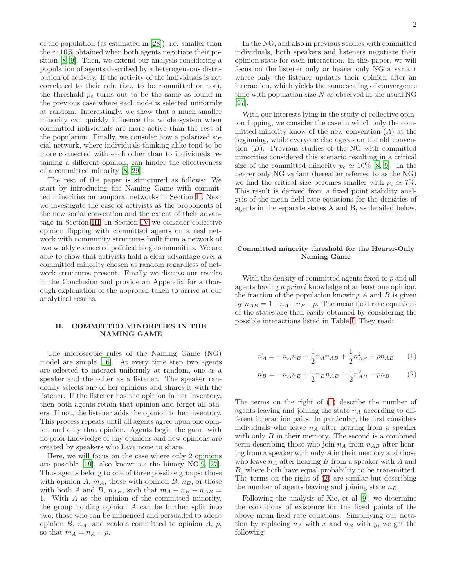of the population (as estimated in [\[28\]](#page-9-2)), i.e. smaller than the  $\simeq 10\%$  obtained when both agents negotiate their position [\[8](#page-8-7), [9](#page-8-14)]. Then, we extend our analysis considering a population of agents described by a heterogeneous distribution of activity. If the activity of the individuals is not correlated to their role (i.e., to be committed or not), the threshold  $p_c$  turns out to be the same as found in the previous case where each node is selected uniformly at random. Interestingly, we show that a much smaller minority can quickly influence the whole system when committed individuals are more active than the rest of the population. Finally, we consider how a polarized social network, where individuals thinking alike tend to be more connected with each other than to individuals retaining a different opinion, can hinder the effectiveness of a committed minority [\[8,](#page-8-7) [29\]](#page-9-3).

The rest of the paper is structured as follows: We start by introducing the Naming Game with committed minorities on temporal networks in Section [II.](#page-2-0) Next we investigate the case of activists as the proponents of the new social convention and the extent of their advantage in Section [III.](#page-4-0) In Section [IV](#page-5-0) we consider collective opinion flipping with committed agents on a real network with community structures built from a network of two weakly connected political blog communities. We are able to show that activists hold a clear advantage over a committed minority chosen at random regardless of network structures present. Finally we discuss our results in the Conclusion and provide an Appendix for a thorough explanation of the approach taken to arrive at our analytical results.

# <span id="page-2-0"></span>II. COMMITTED MINORITIES IN THE NAMING GAME

The microscopic rules of the Naming Game (NG) model are simple [\[16\]](#page-8-10). At every time step two agents are selected to interact uniformly at random, one as a speaker and the other as a listener. The speaker randomly selects one of her opinions and shares it with the listener. If the listener has the opinion in her inventory, then both agents retain that opinion and forget all others. If not, the listener adds the opinion to her inventory. This process repeats until all agents agree upon one opinion and only that opinion. Agents begin the game with no prior knowledge of any opinions and new opinions are created by speakers who have none to share.

Here, we will focus on the case where only 2 opinions are possible [\[19\]](#page-8-13), also known as the binary NG[\[9](#page-8-14), [27\]](#page-9-1). Thus agents belong to one of three possible groups; those with opinion A,  $m_A$ , those with opinion B,  $n_B$ , or those with both A and B,  $n_{AB}$ , such that  $m_A + n_B + n_{AB} =$ 1. With A as the opinion of the committed minority, the group holding opinion  $A$  can be further split into two; those who can be influenced and persuaded to adopt opinion  $B$ ,  $n_A$ , and zealots committed to opinion  $A$ ,  $p$ , so that  $m_A = n_A + p$ .

In the NG, and also in previous studies with committed individuals, both speakers and listeners negotiate their opinion state for each interaction. In this paper, we will focus on the listener only or hearer only NG a variant where only the listener updates their opinion after an interaction, which yields the same scaling of convergence time with population size  $N$  as observed in the usual NG [\[27\]](#page-9-1).

With our interests lying in the study of collective opinion flipping, we consider the case in which only the committed minority know of the new convention  $(A)$  at the beginning, while everyone else agrees on the old convention  $(B)$ . Previous studies of the NG with committed minorities considered this scenario resulting in a critical size of the committed minority  $p_c \simeq 10\%$  [\[8,](#page-8-7) [9\]](#page-8-14). In the hearer only NG variant (hereafter referred to as the NG) we find the critical size becomes smaller with  $p_c \simeq 7\%$ . This result is derived from a fixed point stability analysis of the mean field rate equations for the densities of agents in the separate states A and B, as detailed below.

# Committed minority threshold for the Hearer-Only Naming Game

With the density of committed agents fixed to p and all agents having a priori knowledge of at least one opinion, the fraction of the population knowing  $A$  and  $B$  is given by  $n_{AB} = 1 - n_A - n_B - p$ . The mean field rate equations of the states are then easily obtained by considering the possible interactions listed in Table [I.](#page-3-0) They read:

<span id="page-2-1"></span>
$$
\dot{n_A} = -n_A n_B + \frac{1}{2} n_A n_{AB} + \frac{1}{2} n_{AB}^2 + p n_{AB} \qquad (1)
$$

<span id="page-2-2"></span>
$$
\dot{n}_B = -n_A n_B + \frac{1}{2} n_B n_{AB} + \frac{1}{2} n_{AB}^2 - p n_B \tag{2}
$$

The terms on the right of [\(1\)](#page-2-1) describe the number of agents leaving and joining the state  $n_A$  according to different interaction pairs. In particular, the first considers individuals who leave  $n_A$  after hearing from a speaker with only  $B$  in their memory. The second is a combined term describing those who join  $n_A$  from  $n_{AB}$  after hearing from a speaker with only  $A$  in their memory and those who leave  $n_A$  after hearing B from a speaker with A and B, where both have equal probability to be transmitted. The terms on the right of [\(2\)](#page-2-2) are similar but describing the number of agents leaving and joining state  $n_B$ .

Following the analysis of Xie, et al [\[9\]](#page-8-14), we determine the conditions of existence for the fixed points of the above mean field rate equations. Simplifying our notation by replacing  $n_A$  with x and  $n_B$  with y, we get the following: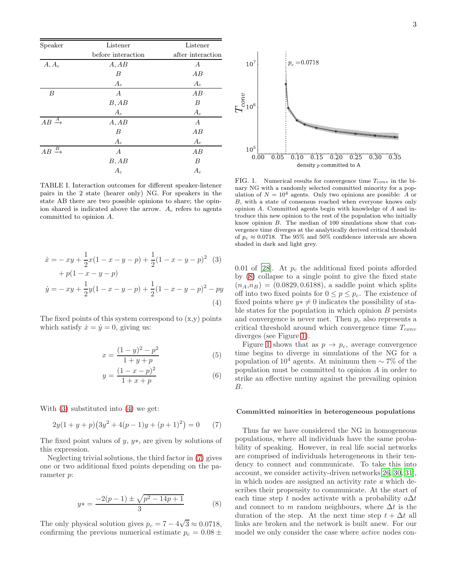| Speaker                               | Listener           | Listener          |
|---------------------------------------|--------------------|-------------------|
|                                       | before interaction | after interaction |
| $A, A_c$                              | A, AB              | $\boldsymbol{A}$  |
|                                       | В                  | AB                |
|                                       | $A_c$              | $A_c$             |
| $\boldsymbol{B}$                      | А                  | AB                |
|                                       | B, AB              | B                 |
|                                       | $A_c$              | $A_c$             |
| $AB \xrightarrow{A}$                  | A, AB              | $\boldsymbol{A}$  |
|                                       | В                  | AВ                |
|                                       | $A_c$              | $A_c$             |
| $\stackrel{B}{\longrightarrow}$<br>AB | $\boldsymbol{A}$   | AB                |
|                                       | B, AB              | B                 |
|                                       | $A_c$              | $A_c$             |

<span id="page-3-0"></span>TABLE I. Interaction outcomes for different speaker-listener pairs in the 2 state (hearer only) NG. For speakers in the state AB there are two possible opinions to share; the opinion shared is indicated above the arrow.  $A_c$  refers to agents committed to opinion A.

$$
\begin{aligned}\n\dot{x} &= -xy + \frac{1}{2}x(1 - x - y - p) + \frac{1}{2}(1 - x - y - p)^2 \tag{3} \\
&+ p(1 - x - y - p) \\
\dot{y} &= -xy + \frac{1}{2}y(1 - x - y - p) + \frac{1}{2}(1 - x - y - p)^2 - py\n\end{aligned}
$$
\n(4)

The fixed points of this system correspond to  $(x, y)$  points which satisfy  $\dot{x} = \dot{y} = 0$ , giving us:

$$
x = \frac{(1-y)^2 - p^2}{1+y+p}
$$
 (5)

$$
y = \frac{(1 - x - p)^2}{1 + x + p}
$$
 (6)

With [\(3\)](#page-3-1) substituted into [\(4\)](#page-3-2) we get:

<span id="page-3-3"></span>
$$
2y(1+y+p)(3y^2+4(p-1)y+(p+1)^2) = 0 \qquad (7)
$$

The fixed point values of  $y, y*,$  are given by solutions of this expression.

Neglecting trivial solutions, the third factor in [\(7\)](#page-3-3) gives one or two additional fixed points depending on the parameter p:

<span id="page-3-4"></span>
$$
y* = \frac{-2(p-1) \pm \sqrt{p^2 - 14p + 1}}{3} \tag{8}
$$

The only physical solution gives  $p_c = 7 - 4\sqrt{3} \approx 0.0718$ , confirming the previous numerical estimate  $p_c = 0.08 \pm$ 



<span id="page-3-5"></span>FIG. 1. Numerical results for convergence time  $T_{conv}$  in the binary NG with a randomly selected committed minority for a population of  $N = 10^4$  agents. Only two opinions are possible: A or B, with a state of consensus reached when everyone knows only opinion A. Committed agents begin with knowledge of A and introduce this new opinion to the rest of the population who initially know opinion B. The median of 100 simulations show that convergence time diverges at the analytically derived critical threshold of  $p_c \approx 0.0718$ . The 95% and 50% confidence intervals are shown shaded in dark and light grey.

<span id="page-3-2"></span><span id="page-3-1"></span>0.01 of [\[28\]](#page-9-2). At  $p_c$  the additional fixed points afforded by [\(8\)](#page-3-4) collapse to a single point to give the fixed state  $(n_A, n_B) = (0.0829, 0.6188),$  a saddle point which splits off into two fixed points for  $0 \leq p \leq p_c$ . The existence of fixed points where  $y \ast \neq 0$  indicates the possibility of stable states for the population in which opinion  $B$  persists and convergence is never met. Then  $p_c$  also represents a critical threshold around which convergence time  $T_{conv}$ diverges (see Figure [1\)](#page-3-5).

Figure [1](#page-3-5) shows that as  $p \to p_c$ , average convergence time begins to diverge in simulations of the NG for a population of 10<sup>4</sup> agents. At minimum then  $\sim$  7% of the population must be committed to opinion A in order to strike an effective mutiny against the prevailing opinion B.

#### Committed minorities in heterogeneous populations

Thus far we have considered the NG in homogeneous populations, where all individuals have the same probability of speaking. However, in real life social networks are comprised of individuals heterogeneous in their tendency to connect and communicate. To take this into account, we consider activity-driven networks[\[26,](#page-9-0) [30](#page-9-4), [31\]](#page-9-5), in which nodes are assigned an activity rate  $a$  which describes their propensity to communicate. At the start of each time step t nodes activate with a probability  $a\Delta t$ and connect to m random neighbours, where  $\Delta t$  is the duration of the step. At the next time step  $t + \Delta t$  all links are broken and the network is built anew. For our model we only consider the case where active nodes con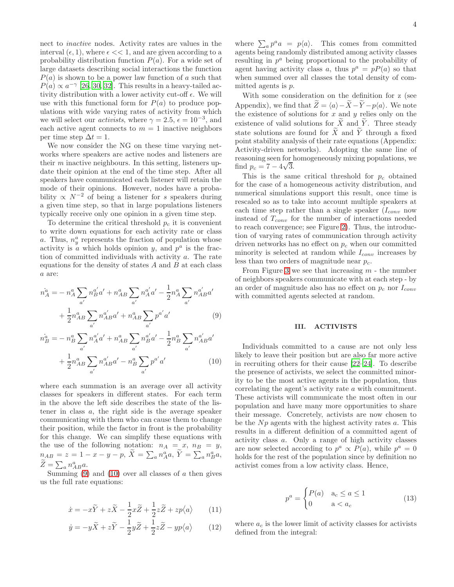nect to inactive nodes. Activity rates are values in the interval  $(\epsilon, 1)$ , where  $\epsilon \ll 1$ , and are given according to a probability distribution function  $P(a)$ . For a wide set of large datasets describing social interactions the function  $P(a)$  is shown to be a power law function of a such that  $P(a) \propto a^{-\gamma}$  [\[26,](#page-9-0) [30](#page-9-4), [32](#page-9-6)]. This results in a heavy-tailed activity distribution with a lower activity cut-off  $\epsilon$ . We will use with this functional form for  $P(a)$  to produce populations with wide varying rates of activity from which we will select our *activists*, where  $\gamma = 2.5$ ,  $\epsilon = 10^{-3}$ , and each active agent connects to  $m = 1$  inactive neighbors per time step  $\Delta t = 1$ .

We now consider the NG on these time varying networks where speakers are active nodes and listeners are their  $m$  inactive neighbours. In this setting, listeners update their opinion at the end of the time step. After all speakers have communicated each listener will retain the mode of their opinions. However, nodes have a probability  $\propto N^{-2}$  of being a listener for s speakers during a given time step, so that in large populations listeners typically receive only one opinion in a given time step.

To determine the critical threshold  $p_c$  it is convenient to write down equations for each activity rate or class a. Thus,  $n_y^a$  represents the fraction of population whose activity is  $\alpha$  which holds opinion y, and  $p^a$  is the fraction of committed individuals with activity a. The rate equations for the density of states  $A$  and  $B$  at each class a are:

$$
\dot{n}_{A}^{a} = -n_{A}^{a} \sum_{a'} n_{B}^{a'} a' + n_{AB}^{a} \sum_{a'} n_{A}^{a'} a' - \frac{1}{2} n_{A}^{a} \sum_{a'} n_{AB}^{a'} a'
$$

$$
+ \frac{1}{2} n_{AB}^{a} \sum_{a'} n_{AB}^{a'} a' + n_{AB}^{a} \sum_{a'} p^{a'} a'
$$
(9)

$$
\dot{n}_{B}^{\dot{a}} = -n_{B}^{a} \sum_{a'} n_{A}^{a'} a' + n_{AB}^{a} \sum_{a'} n_{B}^{a'} a' - \frac{1}{2} n_{B}^{a} \sum_{a'} n_{AB}^{a'} a' + \frac{1}{2} n_{AB}^{a} \sum_{a'} n_{AB}^{a'} a' - n_{B}^{a} \sum_{a'} p^{a'} a' \qquad (10)
$$

where each summation is an average over all activity classes for speakers in different states. For each term in the above the left side describes the state of the listener in class a, the right side is the average speaker communicating with them who can cause them to change their position, while the factor in front is the probability for this change. We can simplify these equations with the use of the following notation:  $n_A = x$ ,  $n_B = y$ ,  $n_{AB} = z = 1 - x - y - p, \ \widetilde{X} = \sum_a n_A^a a, \ \widetilde{Y} = \sum_a n_B^a a,$  $\widetilde{Z} = \sum_{a} n_{AB}^{a} a.$ 

Summing  $(9)$  and  $(10)$  over all classes of a then gives us the full rate equations:

$$
\dot{x} = -x\widetilde{Y} + z\widetilde{X} - \frac{1}{2}x\widetilde{Z} + \frac{1}{2}z\widetilde{Z} + zp\langle a \rangle \qquad (11)
$$

$$
\dot{y} = -y\widetilde{X} + z\widetilde{Y} - \frac{1}{2}y\widetilde{Z} + \frac{1}{2}z\widetilde{Z} - yp\langle a \rangle \tag{12}
$$

where  $\sum_a p^a a = p\langle a \rangle$ . This comes from committed agents being randomly distributed among activity classes resulting in  $p^a$  being proportional to the probability of agent having activity class a, thus  $p^a = pP(a)$  so that when summed over all classes the total density of committed agents is p.

With some consideration on the definition for z (see Appendix), we find that  $\widetilde{Z} = \langle a \rangle - \widetilde{X} - \widetilde{Y} - p\langle a \rangle$ . We note the existence of solutions for  $x$  and  $y$  relies only on the existence of valid solutions for  $\widetilde{X}$  and  $\widetilde{Y}$ . Three steady state solutions are found for  $\widetilde{X}$  and  $\widetilde{Y}$  through a fixed point stability analysis of their rate equations (Appendix: Activity-driven networks). Adopting the same line of reasoning seen for homogeneously mixing populations, we find  $p_c = 7 - 4\sqrt{3}$ .

This is the same critical threshold for  $p_c$  obtained for the case of a homogeneous activity distribution, and numerical simulations support this result, once time is rescaled so as to take into account multiple speakers at each time step rather than a single speaker  $(I_{conv}$  now instead of  $T_{conv}$  for the number of interactions needed to reach convergence; see Figure [2\)](#page-5-1). Thus, the introduction of varying rates of communication through activity driven networks has no effect on  $p_c$  when our committed minority is selected at random while  $I_{conv}$  increases by less than two orders of magnitude near  $p_c$ .

From Figure [3](#page-5-2) we see that increasing  $m$  - the number of neighbors speakers communicate with at each step - by an order of magnitude also has no effect on  $p_c$  nor  $I_{conv}$ with committed agents selected at random.

# <span id="page-4-0"></span>III. ACTIVISTS

<span id="page-4-2"></span><span id="page-4-1"></span>Individuals committed to a cause are not only less likely to leave their position but are also far more active in recruiting others for their cause [\[22](#page-8-17)[–24\]](#page-8-19). To describe the presence of activists, we select the committed minority to be the most active agents in the population, thus correlating the agent's activity rate a with commitment. These activists will communicate the most often in our population and have many more opportunities to share their message. Concretely, activists are now chosen to be the  $Np$  agents with the highest activity rates  $a$ . This results in a different definition of a committed agent of activity class a. Only a range of high activity classes are now selected according to  $p^a \propto P(a)$ , while  $p^a = 0$ holds for the rest of the population since by definition no activist comes from a low activity class. Hence,

$$
p^{a} = \begin{cases} P(a) & a_{c} \le a \le 1 \\ 0 & a < a_{c} \end{cases}
$$
 (13)

<span id="page-4-4"></span><span id="page-4-3"></span>where  $a_c$  is the lower limit of activity classes for activists defined from the integral: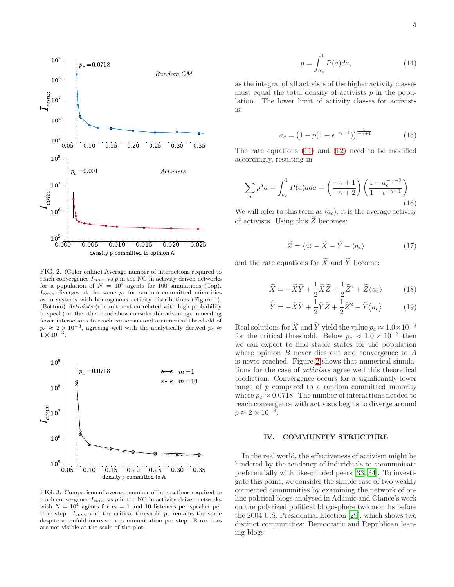

<span id="page-5-1"></span>FIG. 2. (Color online) Average number of interactions required to reach convergence  $I_{conv}$  vs  $p$  in the NG in activity driven networks for a population of  $N = 10^4$  agents for 100 simulations (Top).  $I_{conv}$  diverges at the same  $p_c$  for random committed minorities as in systems with homogenous activity distributions (Figure 1). (Bottom) Activists (commitment correlated with high probability to speak) on the other hand show considerable advantage in needing fewer interactions to reach consensus and a numerical threshold of  $p_c \approx 2 \times 10^{-3}$ , agreeing well with the analytically derived  $p_c \approx$  $1 \times 10^{-3}$ .



<span id="page-5-2"></span>FIG. 3. Comparison of average number of interactions required to reach convergence  $I_{conv}$  vs  $p$  in the NG in activity driven networks with  $N = 10<sup>4</sup>$  agents for  $m = 1$  and 10 listeners per speaker per time step.  $I_{conv}$  and the critical threshold  $p_c$  remains the same despite a tenfold increase in communication per step. Error bars are not visible at the scale of the plot.

$$
p = \int_{a_c}^{1} P(a)da,
$$
 (14)

as the integral of all activists of the higher activity classes must equal the total density of activists  $p$  in the population. The lower limit of activity classes for activists is:

$$
a_c = \left(1 - p(1 - \epsilon^{-\gamma + 1})\right)^{\frac{1}{-\gamma + 1}}\tag{15}
$$

The rate equations [\(11\)](#page-4-3) and [\(12\)](#page-4-4) need to be modified accordingly, resulting in

$$
\sum_{a} p^{a} a = \int_{a_{c}}^{1} P(a) a d a = \left(\frac{-\gamma + 1}{-\gamma + 2}\right) \left(\frac{1 - a_{c}^{-\gamma + 2}}{1 - \epsilon^{-\gamma + 1}}\right)
$$
\n(16)

We will refer to this term as  $\langle a_c \rangle$ ; it is the average activity of activists. Using this  $Z$  becomes:

$$
\widetilde{Z} = \langle a \rangle - \widetilde{X} - \widetilde{Y} - \langle a_c \rangle \tag{17}
$$

and the rate equations for  $\widetilde{X}$  and  $\widetilde{Y}$  become:

$$
\dot{\widetilde{X}} = -\widetilde{X}\widetilde{Y} + \frac{1}{2}\widetilde{X}\widetilde{Z} + \frac{1}{2}\widetilde{Z}^2 + \widetilde{Z}\langle a_c \rangle \tag{18}
$$

$$
\dot{\widetilde{Y}} = -\widetilde{X}\widetilde{Y} + \frac{1}{2}\widetilde{Y}\widetilde{Z} + \frac{1}{2}\widetilde{Z}^2 - \widetilde{Y}\langle a_c \rangle \tag{19}
$$

Real solutions for  $\widetilde{X}$  and  $\widetilde{Y}$  yield the value  $p_c \approx 1.0 \times 10^{-3}$ for the critical threshold. Below  $p_c \approx 1.0 \times 10^{-3}$  then we can expect to find stable states for the population where opinion  $B$  never dies out and convergence to  $A$ is never reached. Figure [2](#page-5-1) shows that numerical simulations for the case of activists agree well this theoretical prediction. Convergence occurs for a significantly lower range of p compared to a random committed minority where  $p_c \approx 0.0718$ . The number of interactions needed to reach convergence with activists begins to diverge around  $p \approx 2 \times 10^{-3}$ .

# <span id="page-5-0"></span>IV. COMMUNITY STRUCTURE

In the real world, the effectiveness of activism might be hindered by the tendency of individuals to communicate preferentially with like-minded peers [\[33](#page-9-7), [34\]](#page-9-8). To investigate this point, we consider the simple case of two weakly connected communities by examining the network of online political blogs analysed in Adamic and Glance's work on the polarized political blogosphere two months before the 2004 U.S. Presidential Election [\[29\]](#page-9-3), which shows two distinct communities: Democratic and Republican leaning blogs.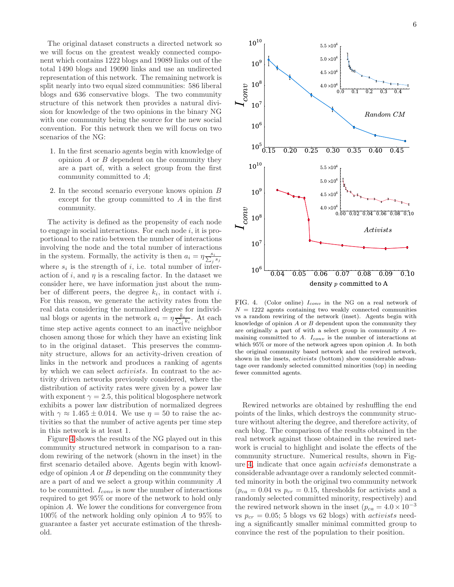The original dataset constructs a directed network so we will focus on the greatest weakly connected component which contains 1222 blogs and 19089 links out of the total 1490 blogs and 19090 links and use an undirected representation of this network. The remaining network is split nearly into two equal sized communities: 586 liberal blogs and 636 conservative blogs. The two community structure of this network then provides a natural division for knowledge of the two opinions in the binary NG with one community being the source for the new social convention. For this network then we will focus on two scenarios of the NG:

- 1. In the first scenario agents begin with knowledge of opinion  $A$  or  $B$  dependent on the community they are a part of, with a select group from the first community committed to A;
- 2. In the second scenario everyone knows opinion B except for the group committed to A in the first community.

The activity is defined as the propensity of each node to engage in social interactions. For each node  $i$ , it is proportional to the ratio between the number of interactions involving the node and the total number of interactions in the system. Formally, the activity is then  $a_i = \eta \frac{s_i}{\sum_j s_j}$ where  $s_i$  is the strength of i, i.e. total number of interaction of i, and  $\eta$  is a rescaling factor. In the dataset we consider here, we have information just about the number of different peers, the degree  $k_i$ , in contact with i. For this reason, we generate the activity rates from the real data considering the normalized degree for individual blogs or agents in the network  $a_i = \eta \frac{k_i}{\sum_i k_i}$  $\frac{\varepsilon_i}{i^{k_i}}$ . At each time step active agents connect to an inactive neighbor chosen among those for which they have an existing link to in the original dataset. This preserves the community structure, allows for an activity-driven creation of links in the network and produces a ranking of agents by which we can select activists. In contrast to the activity driven networks previously considered, where the distribution of activity rates were given by a power law with exponent  $\gamma = 2.5$ , this political blogosphere network exhibits a power law distribution of normalized degrees with  $\gamma \approx 1.465 \pm 0.014$ . We use  $\eta = 50$  to raise the activities so that the number of active agents per time step in this network is at least 1.

Figure [4](#page-6-0) shows the results of the NG played out in this community structured network in comparison to a random rewiring of the network (shown in the inset) in the first scenario detailed above. Agents begin with knowledge of opinion  $A$  or  $B$  depending on the community they are a part of and we select a group within community A to be committed.  $I_{conv}$  is now the number of interactions required to get 95% or more of the network to hold only opinion A. We lower the conditions for convergence from 100% of the network holding only opinion A to 95% to guarantee a faster yet accurate estimation of the threshold.



<span id="page-6-0"></span>FIG. 4. (Color online)  $I_{conv}$  in the NG on a real network of  $N = 1222$  agents containing two weakly connected communities vs a random rewiring of the network (inset). Agents begin with knowledge of opinion  ${\cal A}$  or  ${\cal B}$  dependent upon the community they are originally a part of with a select group in community A remaining committed to  $A$ .  $I_{conv}$  is the number of interactions at which  $95\%$  or more of the network agrees upon opinion A. In both the original community based network and the rewired network, shown in the insets, activists (bottom) show considerable advantage over randomly selected committed minorities (top) in needing fewer committed agents.

Rewired networks are obtained by reshuffling the end points of the links, which destroys the community structure without altering the degree, and therefore activity, of each blog. The comparison of the results obtained in the real network against those obtained in the rewired network is crucial to highlight and isolate the effects of the community structure. Numerical results, shown in Figure [4,](#page-6-0) indicate that once again activists demonstrate a considerable advantage over a randomly selected committed minority in both the original two community network  $(p_{ca} = 0.04 \text{ vs } p_{cr} = 0.15, \text{ thresholds for activities and a}$ randomly selected committed minority, respectively) and the rewired network shown in the inset  $(p_{ca} = 4.0 \times 10^{-3}$ vs  $p_{cr} = 0.05$ ; 5 blogs vs 62 blogs) with *activists* needing a significantly smaller minimal committed group to convince the rest of the population to their position.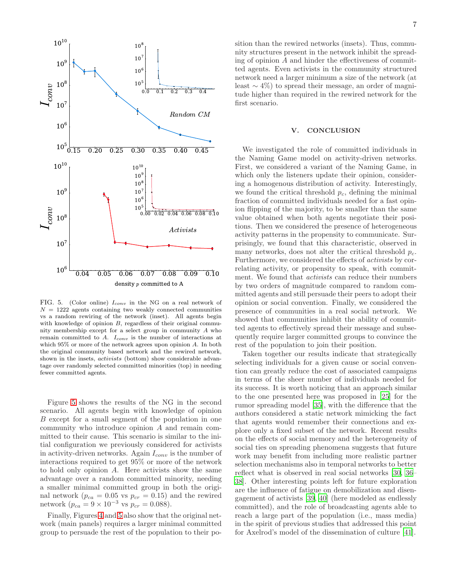

<span id="page-7-0"></span>FIG. 5. (Color online)  $I_{conv}$  in the NG on a real network of  $N = 1222$  agents containing two weakly connected communities vs a random rewiring of the network (inset). All agents begin with knowledge of opinion B, regardless of their original community membership except for a select group in community A who remain committed to  $A$ .  $I_{conv}$  is the number of interactions at which  $95\%$  or more of the network agrees upon opinion A. In both the original community based network and the rewired network, shown in the insets, activists (bottom) show considerable advantage over randomly selected committed minorities (top) in needing fewer committed agents.

Figure [5](#page-7-0) shows the results of the NG in the second scenario. All agents begin with knowledge of opinion B except for a small segment of the population in one community who introduce opinion A and remain committed to their cause. This scenario is similar to the initial configuration we previously considered for activists in activity-driven networks. Again  $I_{conv}$  is the number of interactions required to get 95% or more of the network to hold only opinion A. Here activists show the same advantage over a random committed minority, needing a smaller minimal committed group in both the original network ( $p_{ca} = 0.05$  vs  $p_{cr} = 0.15$ ) and the rewired network  $(p_{ca} = 9 \times 10^{-3} \text{ vs } p_{cr} = 0.088).$ 

Finally, Figures [4](#page-6-0) and [5](#page-7-0) also show that the original network (main panels) requires a larger minimal committed group to persuade the rest of the population to their position than the rewired networks (insets). Thus, community structures present in the network inhibit the spreading of opinion A and hinder the effectiveness of committed agents. Even activists in the community structured network need a larger minimum a size of the network (at least  $\sim$  4%) to spread their message, an order of magnitude higher than required in the rewired network for the first scenario.

#### V. CONCLUSION

We investigated the role of committed individuals in the Naming Game model on activity-driven networks. First, we considered a variant of the Naming Game, in which only the listeners update their opinion, considering a homogenous distribution of activity. Interestingly, we found the critical threshold  $p_c$ , defining the minimal fraction of committed individuals needed for a fast opinion flipping of the majority, to be smaller than the same value obtained when both agents negotiate their positions. Then we considered the presence of heterogeneous activity patterns in the propensity to communicate. Surprisingly, we found that this characteristic, observed in many networks, does not alter the critical threshold  $p_c$ . Furthermore, we considered the effects of activists by correlating activity, or propensity to speak, with commitment. We found that *activists* can reduce their numbers by two orders of magnitude compared to random committed agents and still persuade their peers to adopt their opinion or social convention. Finally, we considered the presence of communities in a real social network. We showed that communities inhibit the ability of committed agents to effectively spread their message and subsequently require larger committed groups to convince the rest of the population to join their position.

Taken together our results indicate that strategically selecting individuals for a given cause or social convention can greatly reduce the cost of associated campaigns in terms of the sheer number of individuals needed for its success. It is worth noticing that an approach similar to the one presented here was proposed in [\[25\]](#page-8-18) for the rumor spreading model [\[35\]](#page-9-9), with the difference that the authors considered a static network mimicking the fact that agents would remember their connections and explore only a fixed subset of the network. Recent results on the effects of social memory and the heterogeneity of social ties on spreading phenomena suggests that future work may benefit from including more realistic partner selection mechanisms also in temporal networks to better reflect what is observed in real social networks [\[30,](#page-9-4) [36](#page-9-10)– [38](#page-9-11)]. Other interesting points left for future exploration are the influence of fatigue on demobilization and disengagement of activists [\[39,](#page-9-12) [40\]](#page-9-13) (here modeled as endlessly committed), and the role of broadcasting agents able to reach a large part of the population (i.e., mass media) in the spirit of previous studies that addressed this point for Axelrod's model of the dissemination of culture [\[41\]](#page-9-14).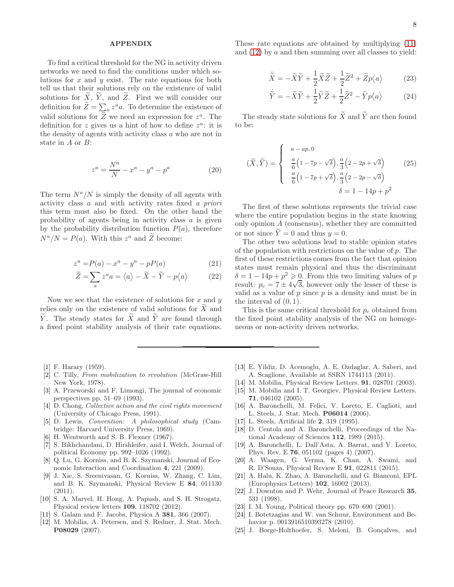## APPENDIX

To find a critical threshold for the NG in activity driven networks we need to find the conditions under which solutions for x and y exist. The rate equations for both tell us that their solutions rely on the existence of valid solutions for  $\widetilde{X}$ ,  $\widetilde{Y}$ , and  $\widetilde{Z}$ . First we will consider our definition for  $\widetilde{Z} = \sum_a z^a a$ . To determine the existence of valid solutions for  $\tilde{Z}$  we need an expression for  $z^a$ . The definition for z gives us a hint of how to define  $z^a$ : it is the density of agents with activity class a who are not in state in A or B:

$$
z^{a} = \frac{N^{a}}{N} - x^{a} - y^{a} - p^{a}
$$
 (20)

The term  $N^a/N$  is simply the density of all agents with activity class a and with activity rates fixed a priori this term must also be fixed. On the other hand the probability of agents being in activity class a is given by the probability distribution function  $P(a)$ , therefore  $N^a/N = P(a)$ . With this  $z^a$  and  $\tilde{Z}$  become:

$$
z^{a} = P(a) - x^{a} - y^{a} - pP(a)
$$
 (21)

$$
\widetilde{Z} = \sum_{a} z^{a} a = \langle a \rangle - \widetilde{X} - \widetilde{Y} - p \langle a \rangle \tag{22}
$$

Now we see that the existence of solutions for  $x$  and  $y$ relies only on the existence of valid solutions for  $X$  and  $\widetilde{Y}$ . The steady states for  $\widetilde{X}$  and  $\widetilde{Y}$  are found through a fixed point stability analysis of their rate equations.

- <span id="page-8-0"></span>[1] F. Harary (1959).
- <span id="page-8-1"></span>[2] C. Tilly, From mobilization to revolution (McGraw-Hill New York, 1978).
- <span id="page-8-2"></span>[3] A. Przeworski and F. Limongi, The journal of economic perspectives pp. 51–69 (1993).
- <span id="page-8-3"></span>[4] D. Chong, Collective action and the civil rights movement (University of Chicago Press, 1991).
- <span id="page-8-4"></span>[5] D. Lewis, Convention: A philosophical study (Cambridge: Harvard University Press, 1969).
- <span id="page-8-5"></span>[6] H. Wentworth and S. B. Flexner (1967).
- <span id="page-8-6"></span>[7] S. Bikhchandani, D. Hirshleifer, and I. Welch, Journal of political Economy pp. 992–1026 (1992).
- <span id="page-8-7"></span>[8] Q. Lu, G. Korniss, and B. K. Szymanski, Journal of Economic Interaction and Coordination 4, 221 (2009).
- <span id="page-8-14"></span>[9] J. Xie, S. Sreenivasan, G. Korniss, W. Zhang, C. Lim, and B. K. Szymanski, Physical Review E 84, 011130 (2011).
- <span id="page-8-9"></span>[10] S. A. Marvel, H. Hong, A. Papush, and S. H. Strogatz, Physical review letters 109, 118702 (2012).
- [11] S. Galam and F. Jacobs, Physica A 381, 366 (2007).
- [12] M. Mobilia, A. Petersen, and S. Redner, J. Stat. Mech. P08029 (2007).

These rate equations are obtained by multiplying [\(11\)](#page-4-3) and  $(12)$  by a and then summing over all classes to yield:

$$
\dot{\widetilde{X}} = -\widetilde{X}\widetilde{Y} + \frac{1}{2}\widetilde{X}\widetilde{Z} + \frac{1}{2}\widetilde{Z}^2 + \widetilde{Z}p\langle a \rangle \tag{23}
$$

$$
\dot{\widetilde{Y}} = -\widetilde{X}\widetilde{Y} + \frac{1}{2}\widetilde{Y}\widetilde{Z} + \frac{1}{2}\widetilde{Z}^2 - \widetilde{Y}p\langle a \rangle \tag{24}
$$

The steady state solutions for  $\widetilde{X}$  and  $\widetilde{Y}$  are then found to be:

$$
(\widetilde{X}, \widetilde{Y}) = \begin{cases} a - ap, 0 \\ \frac{a}{6} \left( 1 - 7p - \sqrt{\delta} \right), \frac{a}{3} \left( 2 - 2p + \sqrt{\delta} \right) \\ \frac{a}{6} \left( 1 - 7p + \sqrt{\delta} \right), \frac{a}{3} \left( 2 - 2p - \sqrt{\delta} \right) \\ \delta = 1 - 14p + p^2 \end{cases}
$$
 (25)

The first of these solutions represents the trivial case where the entire population begins in the state knowing only opinion A (consensus), whether they are committed or not since  $\tilde{Y} = 0$  and thus  $y = 0$ .

The other two solutions lead to stable opinion states of the population with restrictions on the value of  $p$ . The first of these restrictions comes from the fact that opinion states must remain physical and thus the discriminant  $\delta = 1 - 14p + p^2 \geqslant 0$ . From this two limiting values of p result:  $p_c = 7 \pm 4\sqrt{3}$ , however only the lesser of these is valid as a value of  $p$  since  $p$  is a density and must be in the interval of  $(0, 1)$ .

This is the same critical threshold for  $p_c$  obtained from the fixed point stability analysis of the NG on homogeneous or non-activity driven networks.

- [13] E. Yildiz, D. Acemoglu, A. E. Ozdaglar, A. Saberi, and A. Scaglione, Available at SSRN 1744113 (2011).
- [14] M. Mobilia, Physical Review Letters. 91, 028701 (2003).
- <span id="page-8-8"></span>[15] M. Mobilia and I. T. Georgiev, Physical Review Letters. 71, 046102 (2005).
- <span id="page-8-10"></span>[16] A. Baronchelli, M. Felici, V. Loreto, E. Caglioti, and L. Steels, J. Stat. Mech. P06014 (2006).
- <span id="page-8-11"></span>[17] L. Steels, Artificial life 2, 319 (1995).
- <span id="page-8-12"></span>[18] D. Centola and A. Baronchelli, Proceedings of the National Academy of Sciences 112, 1989 (2015).
- <span id="page-8-13"></span>[19] A. Baronchelli, L. Dall'Asta, A. Barrat, and V. Loreto, Phys. Rev. E 76, 051102 (pages 4) (2007).
- <span id="page-8-15"></span>[20] A. Waagen, G. Verma, K. Chan, A. Swami, and R. D'Souza, Physical Review E 91, 022811 (2015).
- <span id="page-8-16"></span>[21] A. Halu, K. Zhao, A. Baronchelli, and G. Bianconi, EPL (Europhysics Letters) 102, 16002 (2013).
- <span id="page-8-17"></span>[22] J. Downton and P. Wehr, Journal of Peace Research 35, 531 (1998).
- [23] I. M. Young, Political theory pp. 670–690 (2001).
- <span id="page-8-19"></span>[24] I. Botetzagias and W. van Schuur, Environment and Behavior p. 0013916510393278 (2010).
- <span id="page-8-18"></span>[25] J. Borge-Holthoefer, S. Meloni, B. Gonçalves, and